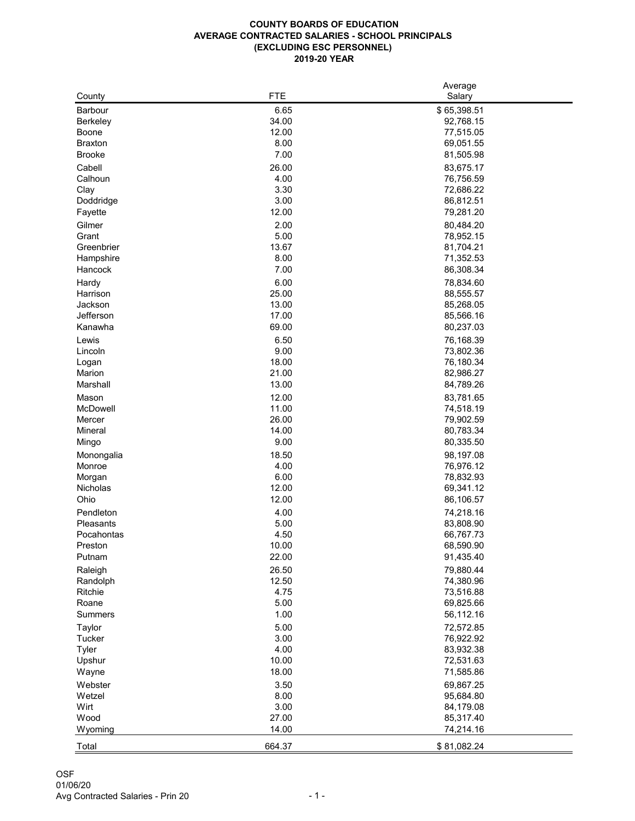## **COUNTY BOARDS OF EDUCATION AVERAGE CONTRACTED SALARIES - SCHOOL PRINCIPALS (EXCLUDING ESC PERSONNEL) 2019-20 YEAR**

|                 |            | Average     |
|-----------------|------------|-------------|
| County          | <b>FTE</b> | Salary      |
| <b>Barbour</b>  | 6.65       | \$65,398.51 |
| <b>Berkeley</b> | 34.00      | 92,768.15   |
|                 |            |             |
| <b>Boone</b>    | 12.00      | 77,515.05   |
| <b>Braxton</b>  | 8.00       | 69,051.55   |
| <b>Brooke</b>   | 7.00       | 81,505.98   |
| Cabell          | 26.00      | 83,675.17   |
| Calhoun         | 4.00       | 76,756.59   |
| Clay            | 3.30       | 72,686.22   |
| Doddridge       | 3.00       | 86,812.51   |
|                 |            |             |
| Fayette         | 12.00      | 79,281.20   |
| Gilmer          | 2.00       | 80,484.20   |
| Grant           | 5.00       | 78,952.15   |
| Greenbrier      | 13.67      | 81,704.21   |
| Hampshire       | 8.00       | 71,352.53   |
| Hancock         | 7.00       | 86,308.34   |
|                 |            |             |
| Hardy           | 6.00       | 78,834.60   |
| Harrison        | 25.00      | 88,555.57   |
| Jackson         | 13.00      | 85,268.05   |
| Jefferson       | 17.00      | 85,566.16   |
| Kanawha         | 69.00      | 80,237.03   |
| Lewis           | 6.50       | 76,168.39   |
| Lincoln         | 9.00       | 73,802.36   |
|                 |            |             |
| Logan           | 18.00      | 76,180.34   |
| Marion          | 21.00      | 82,986.27   |
| Marshall        | 13.00      | 84,789.26   |
| Mason           | 12.00      | 83,781.65   |
| McDowell        | 11.00      | 74,518.19   |
| Mercer          | 26.00      | 79,902.59   |
| <b>Mineral</b>  | 14.00      | 80,783.34   |
|                 | 9.00       | 80,335.50   |
| Mingo           |            |             |
| Monongalia      | 18.50      | 98,197.08   |
| Monroe          | 4.00       | 76,976.12   |
| Morgan          | 6.00       | 78,832.93   |
| <b>Nicholas</b> | 12.00      | 69,341.12   |
| Ohio            | 12.00      | 86,106.57   |
| Pendleton       | 4.00       | 74,218.16   |
|                 |            |             |
| Pleasants       | 5.00       | 83,808.90   |
| Pocahontas      | 4.50       | 66,767.73   |
| Preston         | 10.00      | 68,590.90   |
| Putnam          | 22.00      | 91,435.40   |
| Raleigh         | 26.50      | 79,880.44   |
| Randolph        | 12.50      | 74,380.96   |
| Ritchie         | 4.75       | 73,516.88   |
|                 |            |             |
| Roane           | 5.00       | 69,825.66   |
| <b>Summers</b>  | 1.00       | 56,112.16   |
| <b>Taylor</b>   | 5.00       | 72,572.85   |
| <b>Tucker</b>   | 3.00       | 76,922.92   |
| <b>Tyler</b>    | 4.00       | 83,932.38   |
| Upshur          | 10.00      | 72,531.63   |
| Wayne           | 18.00      | 71,585.86   |
|                 |            |             |
| Webster         | 3.50       | 69,867.25   |
| Wetzel          | 8.00       | 95,684.80   |
| Wirt            | 3.00       | 84,179.08   |
| Wood            | 27.00      | 85,317.40   |
| Wyoming         | 14.00      | 74,214.16   |
|                 |            |             |
| Total           | 664.37     | \$81,082.24 |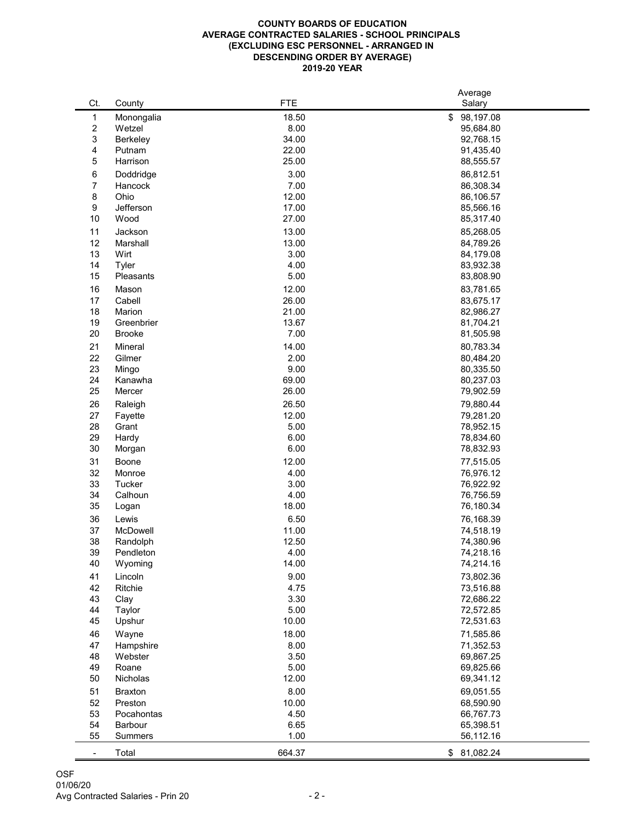## **2019-20 YEAR COUNTY BOARDS OF EDUCATION AVERAGE CONTRACTED SALARIES - SCHOOL PRINCIPALS (EXCLUDING ESC PERSONNEL - ARRANGED IN DESCENDING ORDER BY AVERAGE)**

|     |                 |            | Average         |
|-----|-----------------|------------|-----------------|
| Ct. | County          | <b>FTE</b> | Salary          |
| 1   | Monongalia      | 18.50      | \$<br>98,197.08 |
| 2   | Wetzel          | 8.00       | 95,684.80       |
| 3   | <b>Berkeley</b> | 34.00      | 92,768.15       |
| 4   | Putnam          | 22.00      | 91,435.40       |
| 5   | Harrison        | 25.00      | 88,555.57       |
|     |                 |            |                 |
| 6   | Doddridge       | 3.00       | 86,812.51       |
| 7   | Hancock         | 7.00       | 86,308.34       |
| 8   | Ohio            | 12.00      | 86,106.57       |
| 9   | Jefferson       | 17.00      | 85,566.16       |
| 10  | Wood            | 27.00      | 85,317.40       |
| 11  | Jackson         | 13.00      | 85,268.05       |
| 12  | Marshall        | 13.00      | 84,789.26       |
| 13  | Wirt            | 3.00       | 84,179.08       |
| 14  | <b>Tyler</b>    | 4.00       | 83,932.38       |
| 15  | Pleasants       | 5.00       | 83,808.90       |
| 16  | Mason           | 12.00      | 83,781.65       |
|     |                 |            |                 |
| 17  | Cabell          | 26.00      | 83,675.17       |
| 18  | Marion          | 21.00      | 82,986.27       |
| 19  | Greenbrier      | 13.67      | 81,704.21       |
| 20  | <b>Brooke</b>   | 7.00       | 81,505.98       |
| 21  | Mineral         | 14.00      | 80,783.34       |
| 22  | Gilmer          | 2.00       | 80,484.20       |
| 23  | Mingo           | 9.00       | 80,335.50       |
| 24  | Kanawha         | 69.00      | 80,237.03       |
| 25  | Mercer          | 26.00      | 79,902.59       |
| 26  | Raleigh         | 26.50      | 79,880.44       |
| 27  | Fayette         | 12.00      | 79,281.20       |
| 28  | Grant           | 5.00       | 78,952.15       |
| 29  |                 | 6.00       | 78,834.60       |
|     | Hardy           | 6.00       |                 |
| 30  | Morgan          |            | 78,832.93       |
| 31  | <b>Boone</b>    | 12.00      | 77,515.05       |
| 32  | Monroe          | 4.00       | 76,976.12       |
| 33  | <b>Tucker</b>   | 3.00       | 76,922.92       |
| 34  | Calhoun         | 4.00       | 76,756.59       |
| 35  | Logan           | 18.00      | 76,180.34       |
| 36  | Lewis           | 6.50       | 76,168.39       |
| 37  | McDowell        | 11.00      | 74,518.19       |
| 38  | Randolph        | 12.50      | 74,380.96       |
| 39  | Pendleton       | 4.00       | 74,218.16       |
| 40  | Wyoming         | 14.00      | 74,214.16       |
| 41  | Lincoln         | 9.00       | 73,802.36       |
| 42  | Ritchie         | 4.75       |                 |
|     |                 |            | 73,516.88       |
| 43  | Clay            | 3.30       | 72,686.22       |
| 44  | Taylor          | 5.00       | 72,572.85       |
| 45  | Upshur          | 10.00      | 72,531.63       |
| 46  | Wayne           | 18.00      | 71,585.86       |
| 47  | Hampshire       | 8.00       | 71,352.53       |
| 48  | Webster         | 3.50       | 69,867.25       |
| 49  | Roane           | 5.00       | 69,825.66       |
| 50  | Nicholas        | 12.00      | 69,341.12       |
| 51  | <b>Braxton</b>  | 8.00       | 69,051.55       |
| 52  | Preston         | 10.00      | 68,590.90       |
| 53  | Pocahontas      | 4.50       | 66,767.73       |
| 54  | Barbour         | 6.65       | 65,398.51       |
| 55  |                 |            |                 |
|     | <b>Summers</b>  | 1.00       | 56,112.16       |
| ۰.  | Total           | 664.37     | 81,082.24<br>\$ |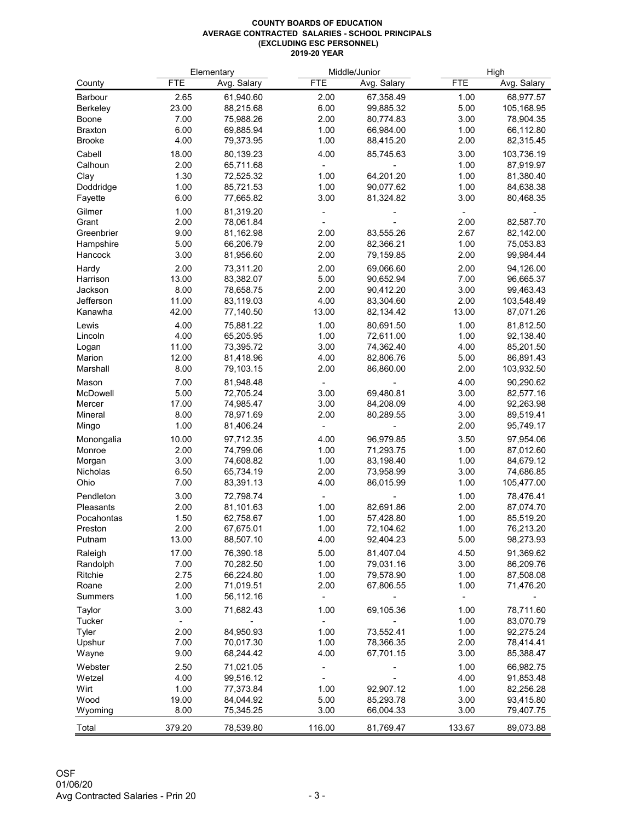## **COUNTY BOARDS OF EDUCATION AVERAGE CONTRACTED SALARIES - SCHOOL PRINCIPALS (EXCLUDING ESC PERSONNEL) 2019-20 YEAR**

|                 |            | Elementary  | Middle/Junior |             |            | High        |  |
|-----------------|------------|-------------|---------------|-------------|------------|-------------|--|
| County          | <b>FTE</b> | Avg. Salary | <b>FTE</b>    | Avg. Salary | <b>FTE</b> | Avg. Salary |  |
| <b>Barbour</b>  | 2.65       | 61,940.60   | 2.00          | 67,358.49   | 1.00       | 68,977.57   |  |
| <b>Berkeley</b> | 23.00      | 88,215.68   | 6.00          | 99,885.32   | 5.00       | 105,168.95  |  |
| <b>Boone</b>    | 7.00       | 75,988.26   | 2.00          | 80,774.83   | 3.00       | 78,904.35   |  |
| <b>Braxton</b>  | 6.00       | 69,885.94   | 1.00          | 66,984.00   | 1.00       | 66,112.80   |  |
| <b>Brooke</b>   | 4.00       | 79,373.95   | 1.00          | 88,415.20   | 2.00       | 82,315.45   |  |
| Cabell          | 18.00      | 80,139.23   | 4.00          | 85,745.63   | 3.00       | 103,736.19  |  |
| Calhoun         | 2.00       | 65,711.68   |               |             | 1.00       | 87,919.97   |  |
| Clay            | 1.30       | 72,525.32   | 1.00          | 64,201.20   | 1.00       | 81,380.40   |  |
| Doddridge       | 1.00       | 85,721.53   | 1.00          | 90,077.62   | 1.00       | 84,638.38   |  |
| Fayette         | 6.00       | 77,665.82   | 3.00          | 81,324.82   | 3.00       | 80,468.35   |  |
|                 |            |             |               |             |            |             |  |
| Gilmer          | 1.00       | 81,319.20   |               |             |            |             |  |
| Grant           | 2.00       | 78,061.84   |               |             | 2.00       | 82,587.70   |  |
| Greenbrier      | 9.00       | 81,162.98   | 2.00          | 83,555.26   | 2.67       | 82,142.00   |  |
| Hampshire       | 5.00       | 66,206.79   | 2.00          | 82,366.21   | 1.00       | 75,053.83   |  |
| Hancock         | 3.00       | 81,956.60   | 2.00          | 79,159.85   | 2.00       | 99,984.44   |  |
| Hardy           | 2.00       | 73,311.20   | 2.00          | 69,066.60   | 2.00       | 94,126.00   |  |
| Harrison        | 13.00      | 83,382.07   | 5.00          | 90,652.94   | 7.00       | 96,665.37   |  |
| Jackson         | 8.00       | 78,658.75   | 2.00          | 90,412.20   | 3.00       | 99,463.43   |  |
| Jefferson       | 11.00      | 83,119.03   | 4.00          | 83,304.60   | 2.00       | 103,548.49  |  |
| Kanawha         | 42.00      | 77,140.50   | 13.00         | 82,134.42   | 13.00      | 87,071.26   |  |
| Lewis           | 4.00       | 75,881.22   | 1.00          | 80,691.50   | 1.00       | 81,812.50   |  |
| Lincoln         | 4.00       | 65,205.95   | 1.00          | 72,611.00   | 1.00       | 92,138.40   |  |
| Logan           | 11.00      | 73,395.72   | 3.00          | 74,362.40   | 4.00       | 85,201.50   |  |
| Marion          | 12.00      | 81,418.96   | 4.00          | 82,806.76   | 5.00       | 86,891.43   |  |
| Marshall        | 8.00       | 79,103.15   | 2.00          | 86,860.00   | 2.00       | 103,932.50  |  |
| Mason           | 7.00       | 81,948.48   |               |             | 4.00       | 90,290.62   |  |
| McDowell        | 5.00       | 72,705.24   | 3.00          | 69,480.81   | 3.00       | 82,577.16   |  |
| Mercer          | 17.00      | 74,985.47   | 3.00          | 84,208.09   | 4.00       | 92,263.98   |  |
| Mineral         | 8.00       | 78,971.69   | 2.00          | 80,289.55   | 3.00       | 89,519.41   |  |
| Mingo           | 1.00       | 81,406.24   |               |             | 2.00       | 95,749.17   |  |
| Monongalia      | 10.00      | 97,712.35   | 4.00          | 96,979.85   | 3.50       | 97,954.06   |  |
| Monroe          | 2.00       | 74,799.06   | 1.00          | 71,293.75   | 1.00       | 87,012.60   |  |
| Morgan          | 3.00       | 74,608.82   | 1.00          | 83,198.40   | 1.00       | 84,679.12   |  |
| Nicholas        | 6.50       | 65,734.19   | 2.00          | 73,958.99   | 3.00       | 74,686.85   |  |
| Ohio            | 7.00       | 83,391.13   | 4.00          | 86,015.99   | 1.00       | 105,477.00  |  |
| Pendleton       | 3.00       | 72,798.74   |               |             | 1.00       | 78,476.41   |  |
| Pleasants       | 2.00       | 81,101.63   | 1.00          | 82,691.86   | 2.00       | 87,074.70   |  |
| Pocahontas      | 1.50       | 62,758.67   | 1.00          | 57,428.80   | 1.00       | 85,519.20   |  |
| Preston         | 2.00       | 67,675.01   | 1.00          | 72,104.62   | 1.00       | 76,213.20   |  |
| Putnam          | 13.00      | 88,507.10   | 4.00          | 92,404.23   | 5.00       | 98,273.93   |  |
| Raleigh         | 17.00      | 76,390.18   | 5.00          | 81,407.04   | 4.50       | 91,369.62   |  |
| Randolph        | 7.00       | 70,282.50   | 1.00          | 79,031.16   | 3.00       | 86,209.76   |  |
| Ritchie         | 2.75       | 66,224.80   | 1.00          | 79,578.90   | 1.00       | 87,508.08   |  |
| Roane           | 2.00       | 71,019.51   | 2.00          | 67,806.55   | 1.00       | 71,476.20   |  |
| <b>Summers</b>  | 1.00       | 56,112.16   |               |             |            |             |  |
| Taylor          | 3.00       | 71,682.43   | 1.00          | 69,105.36   | 1.00       | 78,711.60   |  |
| <b>Tucker</b>   |            |             |               |             | 1.00       | 83,070.79   |  |
| <b>Tyler</b>    | 2.00       | 84,950.93   | 1.00          | 73,552.41   | 1.00       | 92,275.24   |  |
| Upshur          | 7.00       | 70,017.30   | 1.00          | 78,366.35   | 2.00       | 78,414.41   |  |
| Wayne           | 9.00       | 68,244.42   | 4.00          | 67,701.15   | 3.00       | 85,388.47   |  |
| Webster         | 2.50       | 71,021.05   |               |             | 1.00       | 66,982.75   |  |
| Wetzel          | 4.00       | 99,516.12   |               |             | 4.00       | 91,853.48   |  |
| Wirt            | 1.00       | 77,373.84   | 1.00          | 92,907.12   | 1.00       | 82,256.28   |  |
| Wood            | 19.00      | 84,044.92   | 5.00          | 85,293.78   | 3.00       | 93,415.80   |  |
| Wyoming         | 8.00       | 75,345.25   | 3.00          | 66,004.33   | 3.00       | 79,407.75   |  |
| Total           | 379.20     | 78,539.80   | 116.00        | 81,769.47   | 133.67     | 89,073.88   |  |